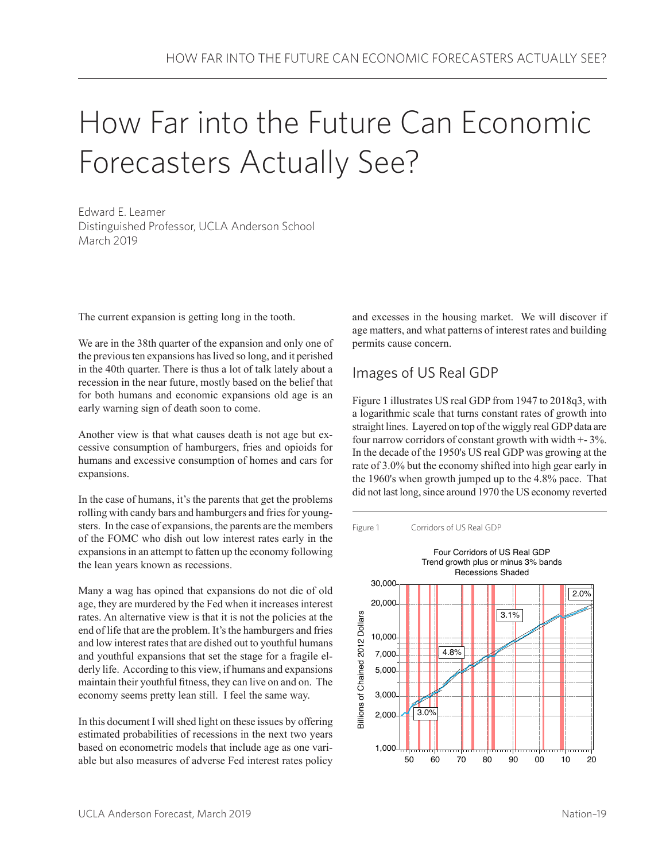# How Far into the Future Can Economic Forecasters Actually See?

Edward E. Leamer Distinguished Professor, UCLA Anderson School March 2019

The current expansion is getting long in the tooth.

We are in the 38th quarter of the expansion and only one of the previous ten expansions has lived so long, and it perished in the 40th quarter. There is thus a lot of talk lately about a recession in the near future, mostly based on the belief that for both humans and economic expansions old age is an early warning sign of death soon to come.

Another view is that what causes death is not age but excessive consumption of hamburgers, fries and opioids for humans and excessive consumption of homes and cars for expansions.

In the case of humans, it's the parents that get the problems rolling with candy bars and hamburgers and fries for youngsters. In the case of expansions, the parents are the members of the FOMC who dish out low interest rates early in the expansions in an attempt to fatten up the economy following the lean years known as recessions.

Many a wag has opined that expansions do not die of old age, they are murdered by the Fed when it increases interest rates. An alternative view is that it is not the policies at the end of life that are the problem. It's the hamburgers and fries and low interest rates that are dished out to youthful humans and youthful expansions that set the stage for a fragile elderly life. According to this view, if humans and expansions maintain their youthful fitness, they can live on and on. The economy seems pretty lean still. I feel the same way.

In this document I will shed light on these issues by offering estimated probabilities of recessions in the next two years based on econometric models that include age as one variable but also measures of adverse Fed interest rates policy and excesses in the housing market. We will discover if age matters, and what patterns of interest rates and building permits cause concern.

## Images of US Real GDP

Figure 1 illustrates US real GDP from 1947 to 2018q3, with a logarithmic scale that turns constant rates of growth into straight lines. Layered on top of the wiggly real GDP data are four narrow corridors of constant growth with width +- 3%. In the decade of the 1950's US real GDP was growing at the rate of 3.0% but the economy shifted into high gear early in the 1960's when growth jumped up to the 4.8% pace. That did not last long, since around 1970 the US economy reverted

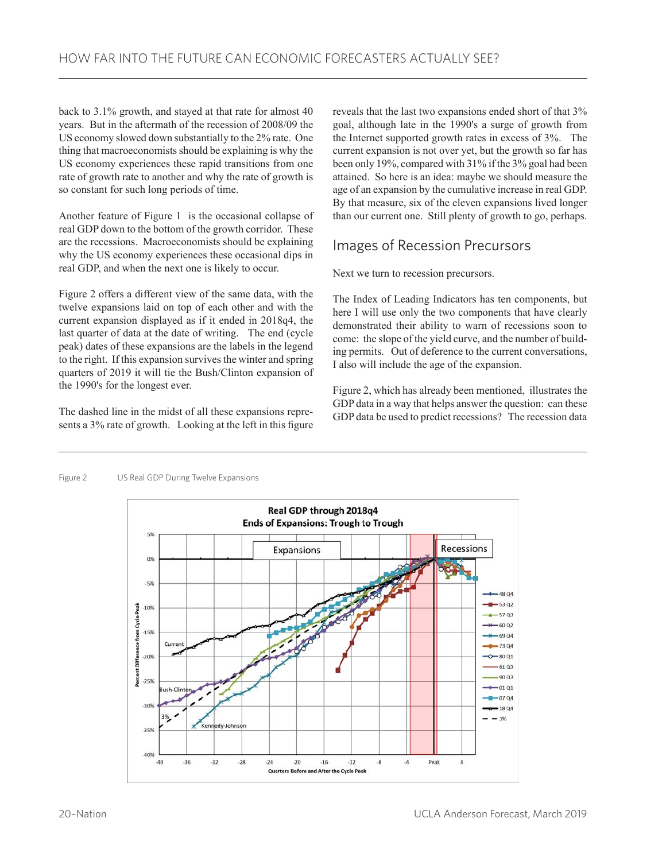back to 3.1% growth, and stayed at that rate for almost 40 years. But in the aftermath of the recession of 2008/09 the US economy slowed down substantially to the 2% rate. One thing that macroeconomists should be explaining is why the US economy experiences these rapid transitions from one rate of growth rate to another and why the rate of growth is so constant for such long periods of time.

Another feature of Figure 1 is the occasional collapse of real GDP down to the bottom of the growth corridor. These are the recessions. Macroeconomists should be explaining why the US economy experiences these occasional dips in real GDP, and when the next one is likely to occur.

Figure 2 offers a different view of the same data, with the twelve expansions laid on top of each other and with the current expansion displayed as if it ended in 2018q4, the last quarter of data at the date of writing. The end (cycle peak) dates of these expansions are the labels in the legend to the right. If this expansion survives the winter and spring quarters of 2019 it will tie the Bush/Clinton expansion of the 1990's for the longest ever.

The dashed line in the midst of all these expansions represents a 3% rate of growth. Looking at the left in this figure reveals that the last two expansions ended short of that 3% goal, although late in the 1990's a surge of growth from the Internet supported growth rates in excess of 3%. The current expansion is not over yet, but the growth so far has been only 19%, compared with 31% if the 3% goal had been attained. So here is an idea: maybe we should measure the age of an expansion by the cumulative increase in real GDP. By that measure, six of the eleven expansions lived longer than our current one. Still plenty of growth to go, perhaps.

# Images of Recession Precursors

Next we turn to recession precursors.

The Index of Leading Indicators has ten components, but here I will use only the two components that have clearly demonstrated their ability to warn of recessions soon to come: the slope of the yield curve, and the number of building permits. Out of deference to the current conversations, I also will include the age of the expansion.

Figure 2, which has already been mentioned, illustrates the GDP data in a way that helps answer the question: can these GDP data be used to predict recessions? The recession data

#### Figure 2 US Real GDP During Twelve Expansions

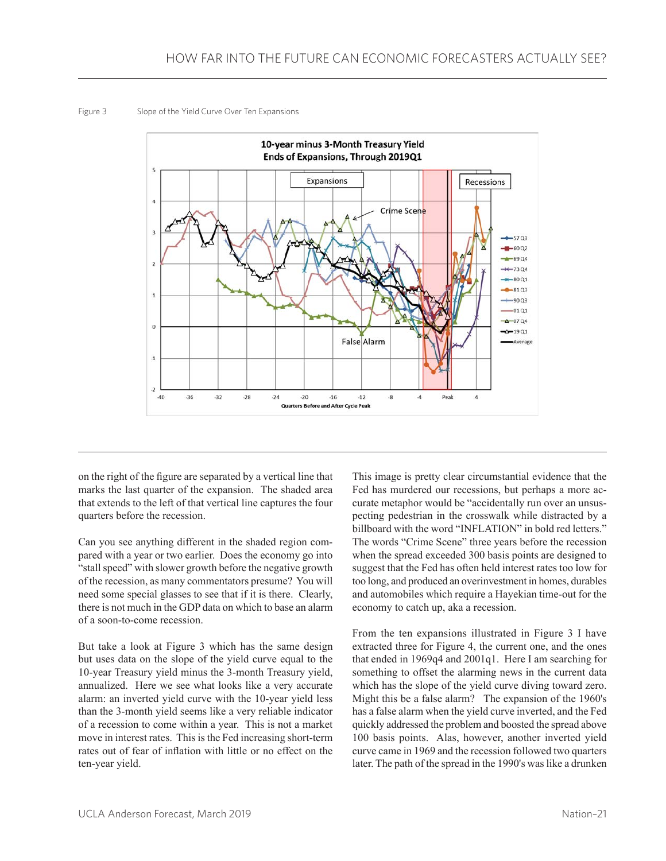Figure 3 Slope of the Yield Curve Over Ten Expansions



on the right of the figure are separated by a vertical line that marks the last quarter of the expansion. The shaded area that extends to the left of that vertical line captures the four quarters before the recession.

Can you see anything different in the shaded region compared with a year or two earlier. Does the economy go into "stall speed" with slower growth before the negative growth of the recession, as many commentators presume? You will need some special glasses to see that if it is there. Clearly, there is not much in the GDP data on which to base an alarm of a soon-to-come recession.

But take a look at Figure 3 which has the same design but uses data on the slope of the yield curve equal to the 10-year Treasury yield minus the 3-month Treasury yield, annualized. Here we see what looks like a very accurate alarm: an inverted yield curve with the 10-year yield less than the 3-month yield seems like a very reliable indicator of a recession to come within a year. This is not a market move in interest rates. This is the Fed increasing short-term rates out of fear of inflation with little or no effect on the ten-year yield.

This image is pretty clear circumstantial evidence that the Fed has murdered our recessions, but perhaps a more accurate metaphor would be "accidentally run over an unsuspecting pedestrian in the crosswalk while distracted by a billboard with the word "INFLATION" in bold red letters." The words "Crime Scene" three years before the recession when the spread exceeded 300 basis points are designed to suggest that the Fed has often held interest rates too low for too long, and produced an overinvestment in homes, durables and automobiles which require a Hayekian time-out for the economy to catch up, aka a recession.

From the ten expansions illustrated in Figure 3 I have extracted three for Figure 4, the current one, and the ones that ended in 1969q4 and 2001q1. Here I am searching for something to offset the alarming news in the current data which has the slope of the yield curve diving toward zero. Might this be a false alarm? The expansion of the 1960's has a false alarm when the yield curve inverted, and the Fed quickly addressed the problem and boosted the spread above 100 basis points. Alas, however, another inverted yield curve came in 1969 and the recession followed two quarters later. The path of the spread in the 1990's was like a drunken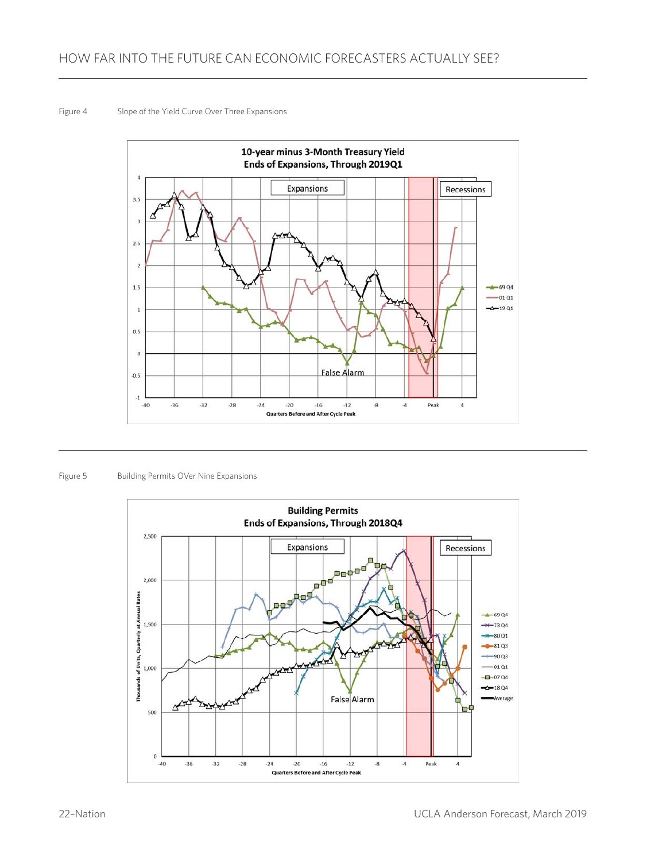#### Figure 4 Slope of the Yield Curve Over Three Expansions



Figure 5 Building Permits OVer Nine Expansions

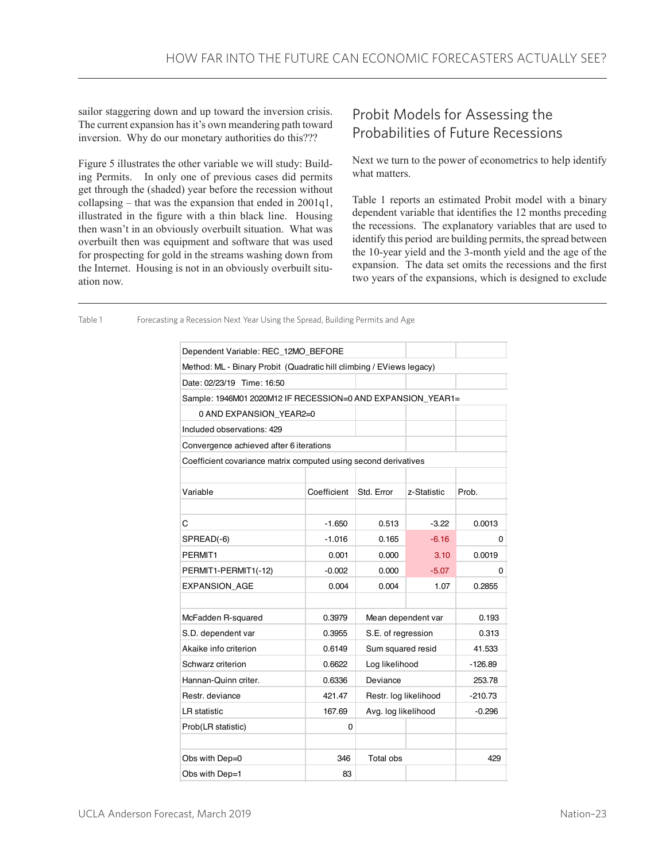sailor staggering down and up toward the inversion crisis. The current expansion has it's own meandering path toward inversion. Why do our monetary authorities do this???

Figure 5 illustrates the other variable we will study: Building Permits. In only one of previous cases did permits get through the (shaded) year before the recession without collapsing – that was the expansion that ended in 2001q1, illustrated in the figure with a thin black line. Housing then wasn't in an obviously overbuilt situation. What was overbuilt then was equipment and software that was used for prospecting for gold in the streams washing down from the Internet. Housing is not in an obviously overbuilt situation now.

## Probit Models for Assessing the Probabilities of Future Recessions

Next we turn to the power of econometrics to help identify what matters.

Table 1 reports an estimated Probit model with a binary dependent variable that identifies the 12 months preceding the recessions. The explanatory variables that are used to identify this period are building permits, the spread between the 10-year yield and the 3-month yield and the age of the expansion. The data set omits the recessions and the first two years of the expansions, which is designed to exclude

| Dependent Variable: REC_12MO_BEFORE                                  |             |                       |             |           |
|----------------------------------------------------------------------|-------------|-----------------------|-------------|-----------|
| Method: ML - Binary Probit (Quadratic hill climbing / EViews legacy) |             |                       |             |           |
| Date: 02/23/19 Time: 16:50                                           |             |                       |             |           |
| Sample: 1946M01 2020M12 IF RECESSION=0 AND EXPANSION_YEAR1=          |             |                       |             |           |
| 0 AND EXPANSION YEAR2=0                                              |             |                       |             |           |
| Included observations: 429                                           |             |                       |             |           |
| Convergence achieved after 6 iterations                              |             |                       |             |           |
| Coefficient covariance matrix computed using second derivatives      |             |                       |             |           |
|                                                                      |             |                       |             |           |
| Variable                                                             | Coefficient | Std. Error            | z-Statistic | Prob.     |
|                                                                      |             |                       |             |           |
| С                                                                    | $-1.650$    | 0.513                 | $-3.22$     | 0.0013    |
| SPREAD(-6)                                                           | $-1.016$    | 0.165                 | $-6.16$     | 0         |
| PERMIT <sub>1</sub>                                                  | 0.001       | 0.000                 | 3.10        | 0.0019    |
| PERMIT1-PERMIT1(-12)                                                 | $-0.002$    | 0.000                 | $-5.07$     | 0         |
| <b>EXPANSION AGE</b>                                                 | 0.004       | 0.004                 | 1.07        | 0.2855    |
|                                                                      |             |                       |             |           |
| McFadden R-squared                                                   | 0.3979      | Mean dependent var    |             | 0.193     |
| S.D. dependent var                                                   | 0.3955      | S.E. of regression    |             | 0.313     |
| Akaike info criterion                                                | 0.6149      | Sum squared resid     |             | 41.533    |
| Schwarz criterion                                                    | 0.6622      | Log likelihood        |             | -126.89   |
| Hannan-Quinn criter.                                                 | 0.6336      | Deviance              |             | 253.78    |
| Restr. deviance                                                      | 421.47      | Restr. log likelihood |             | $-210.73$ |
| LR statistic                                                         | 167.69      | Avg. log likelihood   |             | $-0.296$  |
| Prob(LR statistic)                                                   | 0           |                       |             |           |
|                                                                      |             |                       |             |           |
| Obs with Dep=0                                                       | 346         | Total obs             |             | 429       |
| Obs with Dep=1                                                       | 83          |                       |             |           |

Table 1 Forecasting a Recession Next Year Using the Spread, Building Permits and Age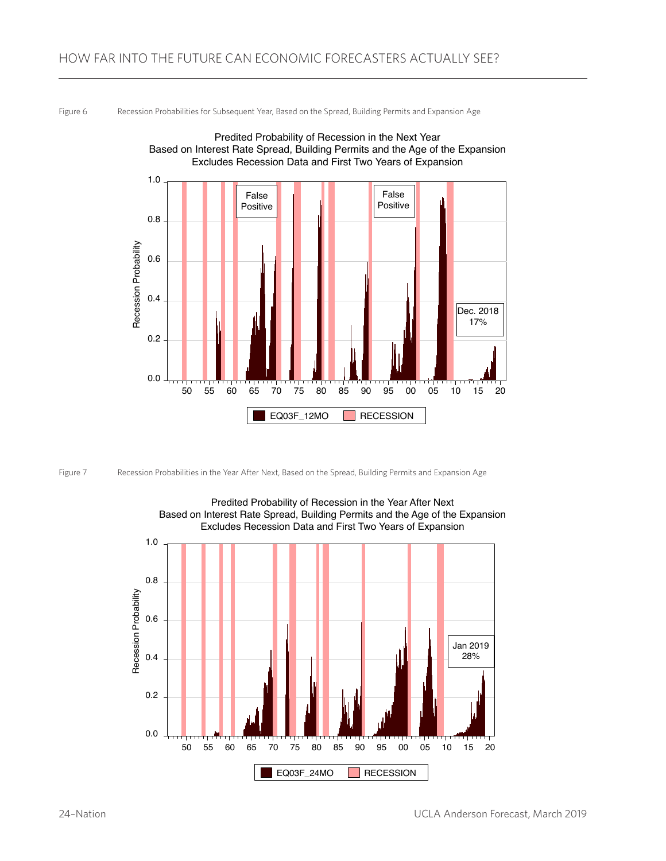Figure 6 Recession Probabilities for Subsequent Year, Based on the Spread, Building Permits and Expansion Age







Predited Probability of Recession in the Year After Next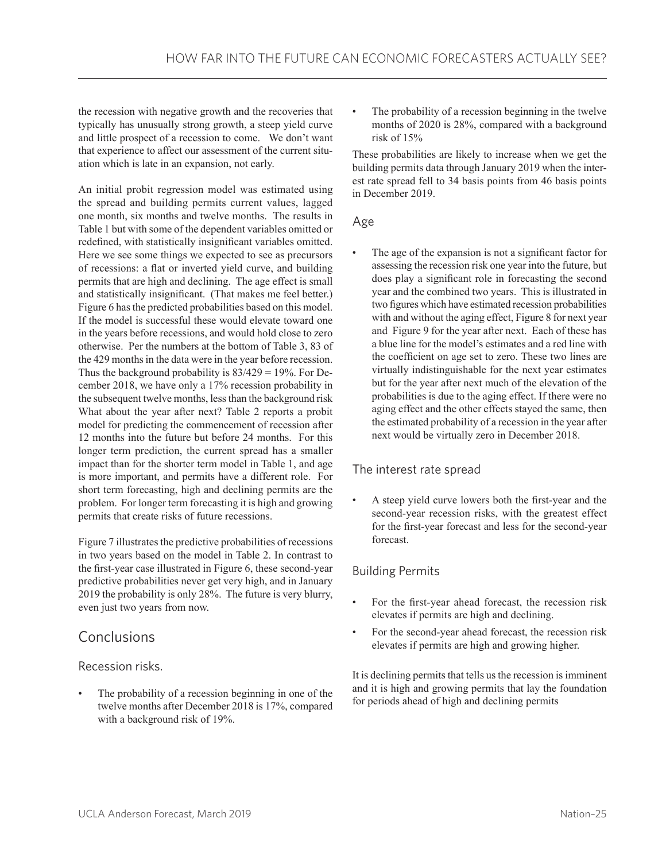the recession with negative growth and the recoveries that typically has unusually strong growth, a steep yield curve and little prospect of a recession to come. We don't want that experience to affect our assessment of the current situation which is late in an expansion, not early.

An initial probit regression model was estimated using the spread and building permits current values, lagged one month, six months and twelve months. The results in Table 1 but with some of the dependent variables omitted or redefined, with statistically insignificant variables omitted. Here we see some things we expected to see as precursors of recessions: a flat or inverted yield curve, and building permits that are high and declining. The age effect is small and statistically insignificant. (That makes me feel better.) Figure 6 has the predicted probabilities based on this model. If the model is successful these would elevate toward one in the years before recessions, and would hold close to zero otherwise. Per the numbers at the bottom of Table 3, 83 of the 429 months in the data were in the year before recession. Thus the background probability is  $83/429 = 19\%$ . For December 2018, we have only a 17% recession probability in the subsequent twelve months, less than the background risk What about the year after next? Table 2 reports a probit model for predicting the commencement of recession after 12 months into the future but before 24 months. For this longer term prediction, the current spread has a smaller impact than for the shorter term model in Table 1, and age is more important, and permits have a different role. For short term forecasting, high and declining permits are the problem. For longer term forecasting it is high and growing permits that create risks of future recessions.

Figure 7 illustrates the predictive probabilities of recessions in two years based on the model in Table 2. In contrast to the first-year case illustrated in Figure 6, these second-year predictive probabilities never get very high, and in January 2019 the probability is only 28%. The future is very blurry, even just two years from now.

# Conclusions

Recession risks.

The probability of a recession beginning in one of the twelve months after December 2018 is 17%, compared with a background risk of 19%.

The probability of a recession beginning in the twelve months of 2020 is 28%, compared with a background risk of 15%

These probabilities are likely to increase when we get the building permits data through January 2019 when the interest rate spread fell to 34 basis points from 46 basis points in December 2019.

#### Age

The age of the expansion is not a significant factor for assessing the recession risk one year into the future, but does play a significant role in forecasting the second year and the combined two years. This is illustrated in two figures which have estimated recession probabilities with and without the aging effect, Figure 8 for next year and Figure 9 for the year after next. Each of these has a blue line for the model's estimates and a red line with the coefficient on age set to zero. These two lines are virtually indistinguishable for the next year estimates but for the year after next much of the elevation of the probabilities is due to the aging effect. If there were no aging effect and the other effects stayed the same, then the estimated probability of a recession in the year after next would be virtually zero in December 2018.

### The interest rate spread

• A steep yield curve lowers both the first-year and the second-year recession risks, with the greatest effect for the first-year forecast and less for the second-year forecast.

#### Building Permits

- For the first-year ahead forecast, the recession risk elevates if permits are high and declining.
- For the second-year ahead forecast, the recession risk elevates if permits are high and growing higher.

It is declining permits that tells us the recession is imminent and it is high and growing permits that lay the foundation for periods ahead of high and declining permits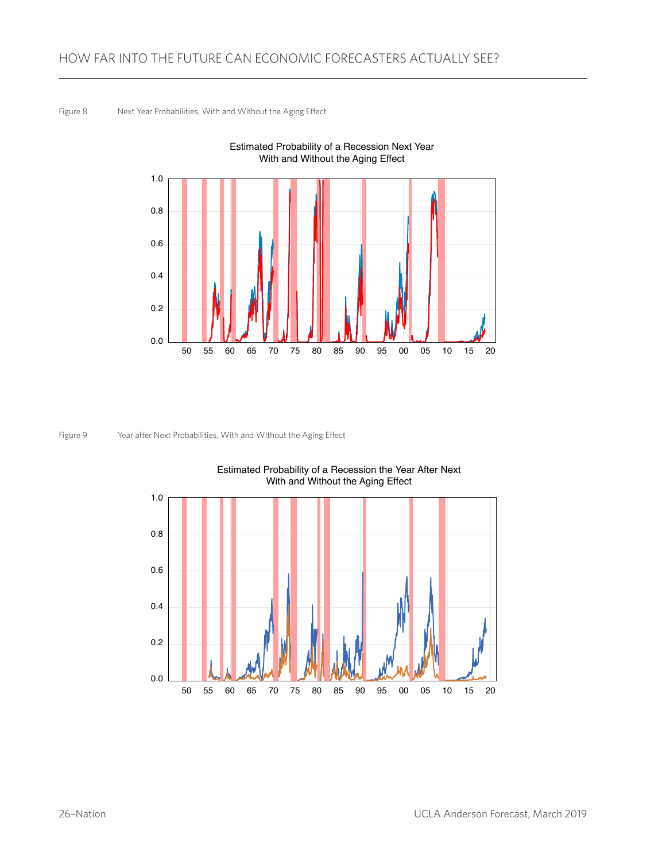Figure 8 Next Year Probabilities, With and Without the Aging Effect



Figure 9 Year after Next Probabilities, With and WIthout the Aging Effect



Estimated Probability of a Recession the Year After Next With and Without the Aging Effect